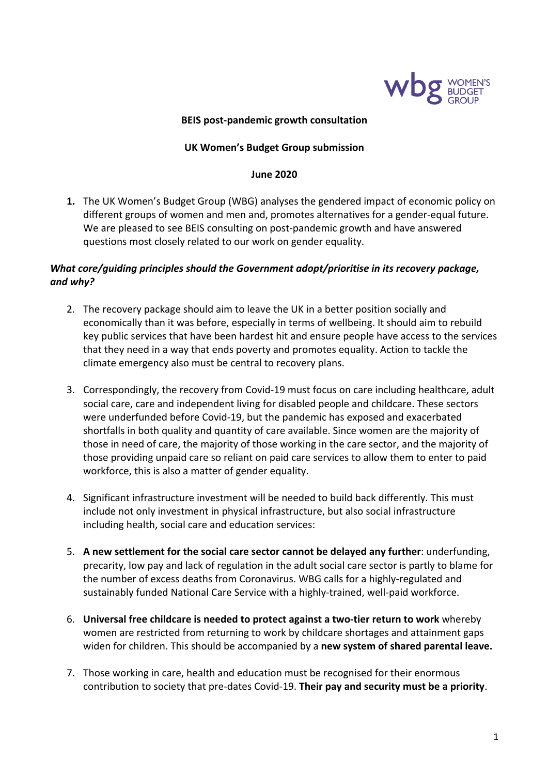

#### **BEIS post-pandemic growth consultation**

#### **UK Women's Budget Group submission**

#### **June 2020**

**1.** The UK Women's Budget Group (WBG) analyses the gendered impact of economic policy on different groups of women and men and, promotes alternatives for a gender-equal future. We are pleased to see BEIS consulting on post-pandemic growth and have answered questions most closely related to our work on gender equality.

### *What core/guiding principles should the Government adopt/prioritise in its recovery package, and why?*

- 2. The recovery package should aim to leave the UK in a better position socially and economically than it was before, especially in terms of wellbeing. It should aim to rebuild key public services that have been hardest hit and ensure people have access to the services that they need in a way that ends poverty and promotes equality. Action to tackle the climate emergency also must be central to recovery plans.
- 3. Correspondingly, the recovery from Covid-19 must focus on care including healthcare, adult social care, care and independent living for disabled people and childcare. These sectors were underfunded before Covid-19, but the pandemic has exposed and exacerbated shortfalls in both quality and quantity of care available. Since women are the majority of those in need of care, the majority of those working in the care sector, and the majority of those providing unpaid care so reliant on paid care services to allow them to enter to paid workforce, this is also a matter of gender equality.
- 4. Significant infrastructure investment will be needed to build back differently. This must include not only investment in physical infrastructure, but also social infrastructure including health, social care and education services:
- 5. **A new settlement for the social care sector cannot be delayed any further**: underfunding, precarity, low pay and lack of regulation in the adult social care sector is partly to blame for the number of excess deaths from Coronavirus. WBG calls for a highly-regulated and sustainably funded National Care Service with a highly-trained, well-paid workforce.
- 6. **Universal free childcare is needed to protect against a two-tier return to work** whereby women are restricted from returning to work by childcare shortages and attainment gaps widen for children. This should be accompanied by a **new system of shared parental leave.**
- 7. Those working in care, health and education must be recognised for their enormous contribution to society that pre-dates Covid-19. **Their pay and security must be a priority**.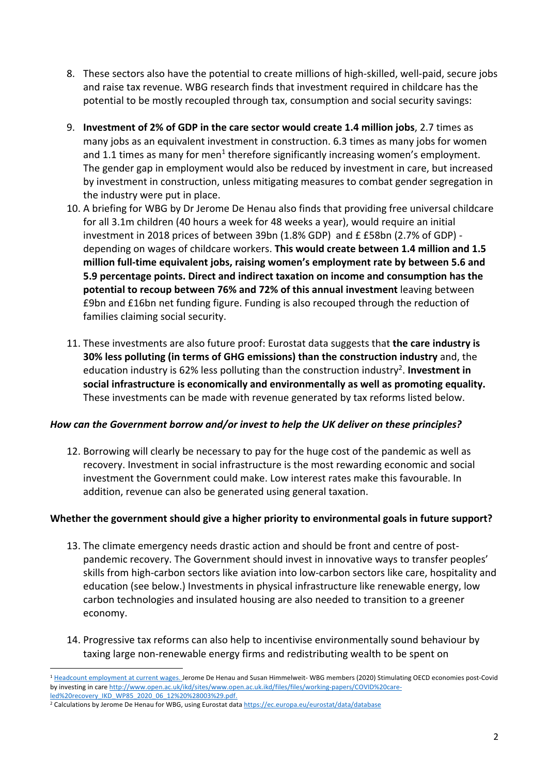- 8. These sectors also have the potential to create millions of high-skilled, well-paid, secure jobs and raise tax revenue. WBG research finds that investment required in childcare has the potential to be mostly recoupled through tax, consumption and social security savings:
- 9. **Investment of 2% of GDP in the care sector would create 1.4 million jobs**, 2.7 times as many jobs as an equivalent investment in construction. 6.3 times as many jobs for women and 1.1 times as many for men<sup>1</sup> therefore significantly increasing women's employment. The gender gap in employment would also be reduced by investment in care, but increased by investment in construction, unless mitigating measures to combat gender segregation in the industry were put in place.
- 10. A briefing for WBG by Dr Jerome De Henau also finds that providing free universal childcare for all 3.1m children (40 hours a week for 48 weeks a year), would require an initial investment in 2018 prices of between 39bn (1.8% GDP) and £ £58bn (2.7% of GDP) depending on wages of childcare workers. **This would create between 1.4 million and 1.5 million full-time equivalent jobs, raising women's employment rate by between 5.6 and 5.9 percentage points. Direct and indirect taxation on income and consumption has the potential to recoup between 76% and 72% of this annual investment** leaving between £9bn and £16bn net funding figure. Funding is also recouped through the reduction of families claiming social security.
- 11. These investments are also future proof: Eurostat data suggests that **the care industry is 30% less polluting (in terms of GHG emissions) than the construction industry** and, the education industry is 62% less polluting than the construction industry<sup>2</sup>. Investment in **social infrastructure is economically and environmentally as well as promoting equality.**  These investments can be made with revenue generated by tax reforms listed below.

## *How can the Government borrow and/or invest to help the UK deliver on these principles?*

12. Borrowing will clearly be necessary to pay for the huge cost of the pandemic as well as recovery. Investment in social infrastructure is the most rewarding economic and social investment the Government could make. Low interest rates make this favourable. In addition, revenue can also be generated using general taxation.

## **Whether the government should give a higher priority to environmental goals in future support?**

- 13. The climate emergency needs drastic action and should be front and centre of postpandemic recovery. The Government should invest in innovative ways to transfer peoples' skills from high-carbon sectors like aviation into low-carbon sectors like care, hospitality and education (see below.) Investments in physical infrastructure like renewable energy, low carbon technologies and insulated housing are also needed to transition to a greener economy.
- 14. Progressive tax reforms can also help to incentivise environmentally sound behaviour by taxing large non-renewable energy firms and redistributing wealth to be spent on

<sup>&</sup>lt;sup>1</sup> Headcount employment at current wages. Jerome De Henau and Susan Himmelweit-WBG members (2020) Stimulating OECD economies post-Covid by investing in care http://www.open.ac.uk/ikd/sites/www.open.ac.uk.ikd/files/files/working-papers/COVID%20care-

led%20recovery\_IKD\_WP85\_2020\_06\_12%20%28003%29.pdf. 2 Calculations by Jerome De Henau for De Henau for WBG, using Eurostat data https://ec.europa.eu/eurostat/data/database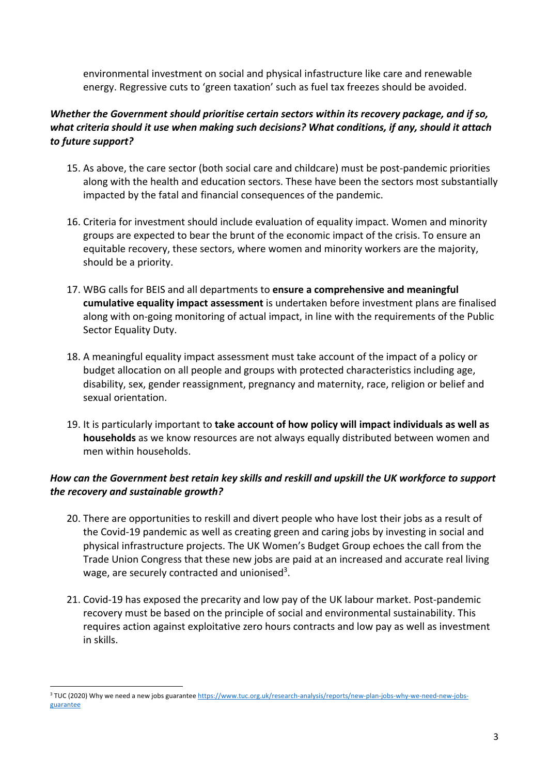environmental investment on social and physical infastructure like care and renewable energy. Regressive cuts to 'green taxation' such as fuel tax freezes should be avoided.

# *Whether the Government should prioritise certain sectors within its recovery package, and if so, what criteria should it use when making such decisions? What conditions, if any, should it attach to future support?*

- 15. As above, the care sector (both social care and childcare) must be post-pandemic priorities along with the health and education sectors. These have been the sectors most substantially impacted by the fatal and financial consequences of the pandemic.
- 16. Criteria for investment should include evaluation of equality impact. Women and minority groups are expected to bear the brunt of the economic impact of the crisis. To ensure an equitable recovery, these sectors, where women and minority workers are the majority, should be a priority.
- 17. WBG calls for BEIS and all departments to **ensure a comprehensive and meaningful cumulative equality impact assessment** is undertaken before investment plans are finalised along with on-going monitoring of actual impact, in line with the requirements of the Public Sector Equality Duty.
- 18. A meaningful equality impact assessment must take account of the impact of a policy or budget allocation on all people and groups with protected characteristics including age, disability, sex, gender reassignment, pregnancy and maternity, race, religion or belief and sexual orientation.
- 19. It is particularly important to **take account of how policy will impact individuals as well as households** as we know resources are not always equally distributed between women and men within households.

# *How can the Government best retain key skills and reskill and upskill the UK workforce to support the recovery and sustainable growth?*

- 20. There are opportunities to reskill and divert people who have lost their jobs as a result of the Covid-19 pandemic as well as creating green and caring jobs by investing in social and physical infrastructure projects. The UK Women's Budget Group echoes the call from the Trade Union Congress that these new jobs are paid at an increased and accurate real living wage, are securely contracted and unionised<sup>3</sup>.
- 21. Covid-19 has exposed the precarity and low pay of the UK labour market. Post-pandemic recovery must be based on the principle of social and environmental sustainability. This requires action against exploitative zero hours contracts and low pay as well as investment in skills.

<sup>&</sup>lt;sup>3</sup> TUC (2020) Why we need a new jobs guarantee https://www.tuc.org.uk/research-analysis/reports/new-plan-jobs-why-we-need-new-jobsguarantee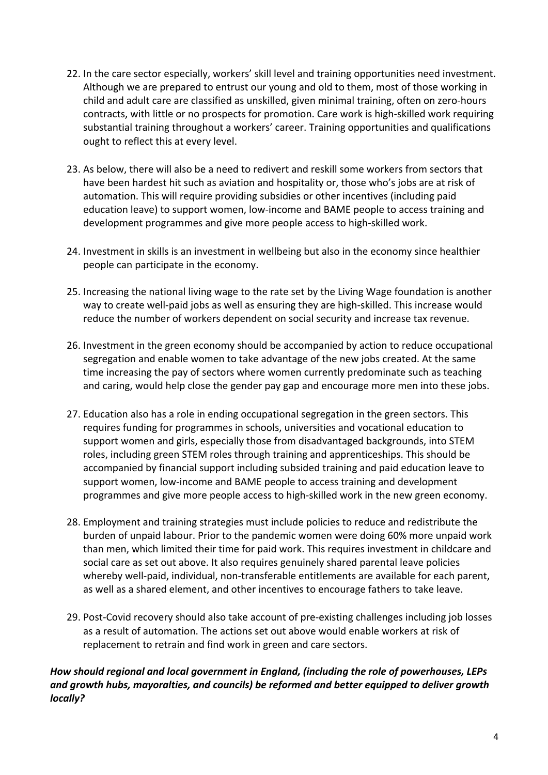- 22. In the care sector especially, workers' skill level and training opportunities need investment. Although we are prepared to entrust our young and old to them, most of those working in child and adult care are classified as unskilled, given minimal training, often on zero-hours contracts, with little or no prospects for promotion. Care work is high-skilled work requiring substantial training throughout a workers' career. Training opportunities and qualifications ought to reflect this at every level.
- 23. As below, there will also be a need to redivert and reskill some workers from sectors that have been hardest hit such as aviation and hospitality or, those who's jobs are at risk of automation. This will require providing subsidies or other incentives (including paid education leave) to support women, low-income and BAME people to access training and development programmes and give more people access to high-skilled work.
- 24. Investment in skills is an investment in wellbeing but also in the economy since healthier people can participate in the economy.
- 25. Increasing the national living wage to the rate set by the Living Wage foundation is another way to create well-paid jobs as well as ensuring they are high-skilled. This increase would reduce the number of workers dependent on social security and increase tax revenue.
- 26. Investment in the green economy should be accompanied by action to reduce occupational segregation and enable women to take advantage of the new jobs created. At the same time increasing the pay of sectors where women currently predominate such as teaching and caring, would help close the gender pay gap and encourage more men into these jobs.
- 27. Education also has a role in ending occupational segregation in the green sectors. This requires funding for programmes in schools, universities and vocational education to support women and girls, especially those from disadvantaged backgrounds, into STEM roles, including green STEM roles through training and apprenticeships. This should be accompanied by financial support including subsided training and paid education leave to support women, low-income and BAME people to access training and development programmes and give more people access to high-skilled work in the new green economy.
- 28. Employment and training strategies must include policies to reduce and redistribute the burden of unpaid labour. Prior to the pandemic women were doing 60% more unpaid work than men, which limited their time for paid work. This requires investment in childcare and social care as set out above. It also requires genuinely shared parental leave policies whereby well-paid, individual, non-transferable entitlements are available for each parent, as well as a shared element, and other incentives to encourage fathers to take leave.
- 29. Post-Covid recovery should also take account of pre-existing challenges including job losses as a result of automation. The actions set out above would enable workers at risk of replacement to retrain and find work in green and care sectors.

## *How should regional and local government in England, (including the role of powerhouses, LEPs and growth hubs, mayoralties, and councils) be reformed and better equipped to deliver growth locally?*